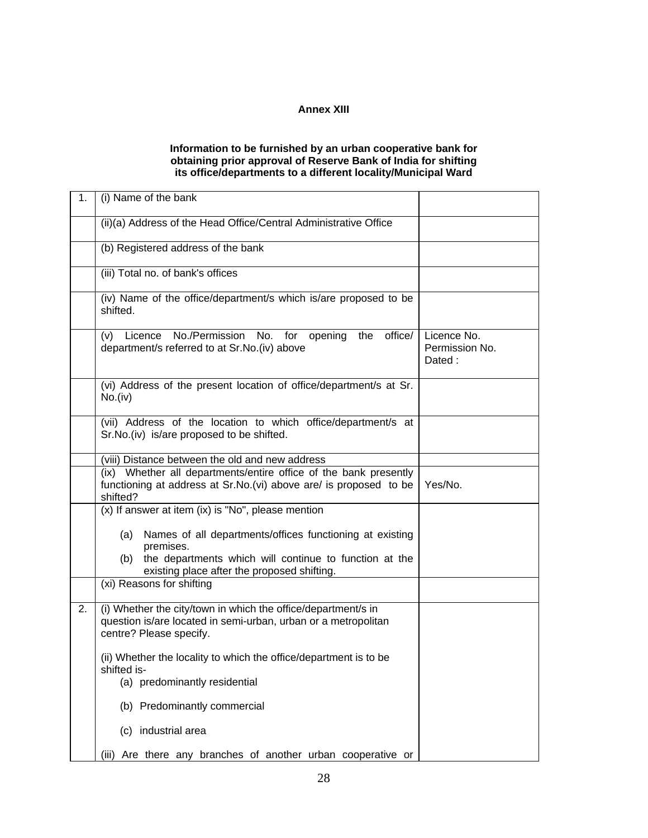## **Annex XIII**

## **Information to be furnished by an urban cooperative bank for obtaining prior approval of Reserve Bank of India for shifting its office/departments to a different locality/Municipal Ward**

| 1. | (i) Name of the bank                                                                                                                                       |                                         |
|----|------------------------------------------------------------------------------------------------------------------------------------------------------------|-----------------------------------------|
|    | (ii)(a) Address of the Head Office/Central Administrative Office                                                                                           |                                         |
|    | (b) Registered address of the bank                                                                                                                         |                                         |
|    | (iii) Total no. of bank's offices                                                                                                                          |                                         |
|    | (iv) Name of the office/department/s which is/are proposed to be<br>shifted.                                                                               |                                         |
|    | (v) Licence No./Permission No. for opening the<br>office/<br>department/s referred to at Sr.No.(iv) above                                                  | Licence No.<br>Permission No.<br>Dated: |
|    | (vi) Address of the present location of office/department/s at Sr.<br>No.(iv)                                                                              |                                         |
|    | (vii) Address of the location to which office/department/s at<br>Sr.No.(iv) is/are proposed to be shifted.                                                 |                                         |
|    | (viii) Distance between the old and new address                                                                                                            |                                         |
|    | (ix) Whether all departments/entire office of the bank presently<br>functioning at address at Sr.No.(vi) above are/ is proposed to be<br>shifted?          | Yes/No.                                 |
|    | (x) If answer at item (ix) is "No", please mention                                                                                                         |                                         |
|    | Names of all departments/offices functioning at existing<br>(a)<br>premises.                                                                               |                                         |
|    | the departments which will continue to function at the<br>(b)<br>existing place after the proposed shifting.                                               |                                         |
|    | (xi) Reasons for shifting                                                                                                                                  |                                         |
| 2. | (i) Whether the city/town in which the office/department/s in<br>question is/are located in semi-urban, urban or a metropolitan<br>centre? Please specify. |                                         |
|    | (ii) Whether the locality to which the office/department is to be<br>shifted is-                                                                           |                                         |
|    | (a) predominantly residential                                                                                                                              |                                         |
|    | (b) Predominantly commercial                                                                                                                               |                                         |
|    | (c) industrial area                                                                                                                                        |                                         |
|    | Are there any branches of another urban cooperative or<br>(iii)                                                                                            |                                         |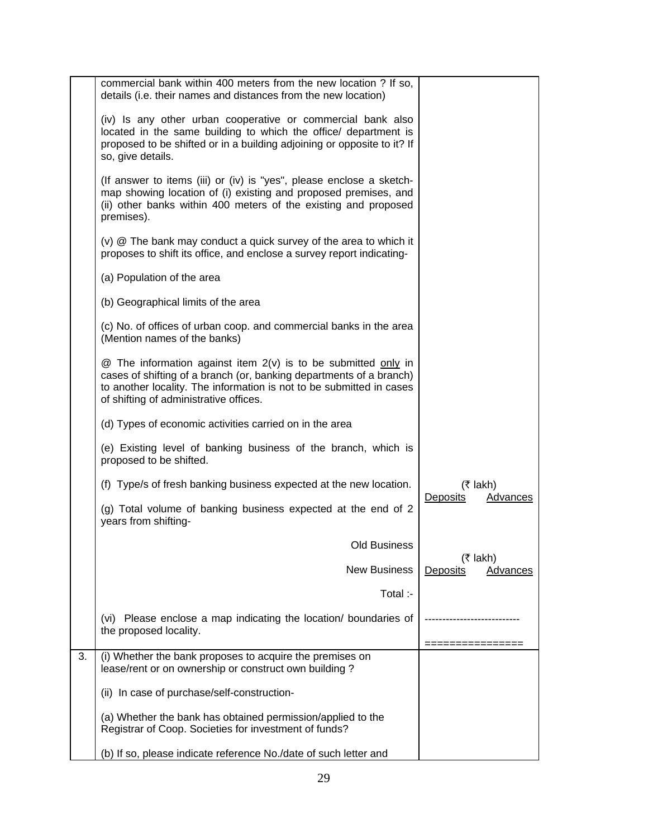|    | commercial bank within 400 meters from the new location ? If so,<br>details (i.e. their names and distances from the new location)                                                                                                                          |                                     |
|----|-------------------------------------------------------------------------------------------------------------------------------------------------------------------------------------------------------------------------------------------------------------|-------------------------------------|
|    | (iv) Is any other urban cooperative or commercial bank also<br>located in the same building to which the office/ department is<br>proposed to be shifted or in a building adjoining or opposite to it? If<br>so, give details.                              |                                     |
|    | (If answer to items (iii) or (iv) is "yes", please enclose a sketch-<br>map showing location of (i) existing and proposed premises, and<br>(ii) other banks within 400 meters of the existing and proposed<br>premises).                                    |                                     |
|    | (v) @ The bank may conduct a quick survey of the area to which it<br>proposes to shift its office, and enclose a survey report indicating-                                                                                                                  |                                     |
|    | (a) Population of the area                                                                                                                                                                                                                                  |                                     |
|    | (b) Geographical limits of the area                                                                                                                                                                                                                         |                                     |
|    | (c) No. of offices of urban coop. and commercial banks in the area<br>(Mention names of the banks)                                                                                                                                                          |                                     |
|    | $@$ The information against item $2(v)$ is to be submitted only in<br>cases of shifting of a branch (or, banking departments of a branch)<br>to another locality. The information is not to be submitted in cases<br>of shifting of administrative offices. |                                     |
|    | (d) Types of economic activities carried on in the area                                                                                                                                                                                                     |                                     |
|    | (e) Existing level of banking business of the branch, which is<br>proposed to be shifted.                                                                                                                                                                   |                                     |
|    | (f) Type/s of fresh banking business expected at the new location.                                                                                                                                                                                          | $($ ₹ lakh $)$                      |
|    | (g) Total volume of banking business expected at the end of 2<br>years from shifting-                                                                                                                                                                       | Deposits<br>Advances                |
|    | <b>Old Business</b>                                                                                                                                                                                                                                         |                                     |
|    | <b>New Business</b>                                                                                                                                                                                                                                         | $($ ₹ lakh)<br>Deposits<br>Advances |
|    | Total :-                                                                                                                                                                                                                                                    |                                     |
|    | (vi) Please enclose a map indicating the location/ boundaries of<br>the proposed locality.                                                                                                                                                                  |                                     |
| 3. | (i) Whether the bank proposes to acquire the premises on<br>lease/rent or on ownership or construct own building?                                                                                                                                           |                                     |
|    | (ii) In case of purchase/self-construction-                                                                                                                                                                                                                 |                                     |
|    | (a) Whether the bank has obtained permission/applied to the<br>Registrar of Coop. Societies for investment of funds?                                                                                                                                        |                                     |
|    | (b) If so, please indicate reference No./date of such letter and                                                                                                                                                                                            |                                     |